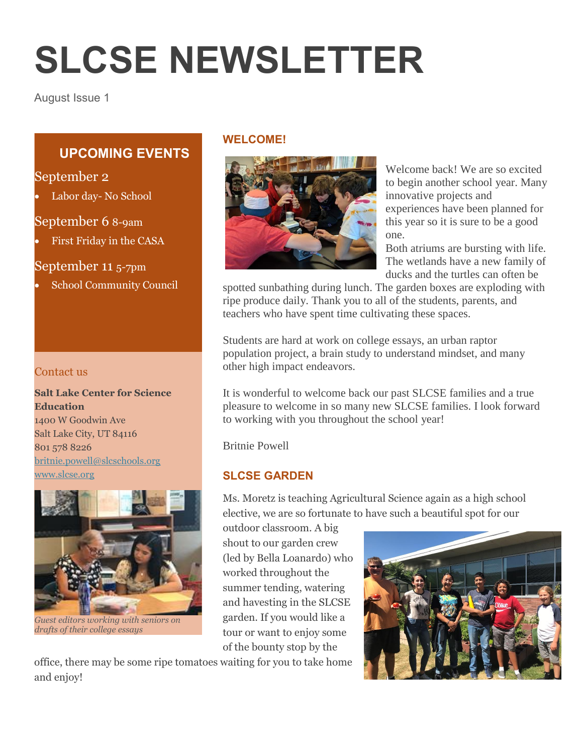# **SLCSE NEWSLETTER**

August Issue 1

# **UPCOMING EVENTS**

# September 2

Labor day- No School

# September 6 8-9am

First Friday in the CASA

September 11 5-7pm

School Community Council

#### Contact us

**Salt Lake Center for Science Education** 1400 W Goodwin Ave Salt Lake City, UT 84116 801 578 8226 [britnie.powell@slcschools.org](mailto:britnie.powell@slcschools.org) [www.slcse.org](http://www.slcse.org/)



*Guest editors working with seniors on drafts of their college essays*

#### **WELCOME!**



Welcome back! We are so excited to begin another school year. Many innovative projects and experiences have been planned for this year so it is sure to be a good one.

Both atriums are bursting with life. The wetlands have a new family of ducks and the turtles can often be

spotted sunbathing during lunch. The garden boxes are exploding with ripe produce daily. Thank you to all of the students, parents, and teachers who have spent time cultivating these spaces.

Students are hard at work on college essays, an urban raptor population project, a brain study to understand mindset, and many other high impact endeavors.

It is wonderful to welcome back our past SLCSE families and a true pleasure to welcome in so many new SLCSE families. I look forward to working with you throughout the school year!

Britnie Powell

#### **SLCSE GARDEN**

Ms. Moretz is teaching Agricultural Science again as a high school elective, we are so fortunate to have such a beautiful spot for our

outdoor classroom. A big shout to our garden crew (led by Bella Loanardo) who worked throughout the summer tending, watering and havesting in the SLCSE garden. If you would like a tour or want to enjoy some of the bounty stop by the

office, there may be some ripe tomatoes waiting for you to take home and enjoy!

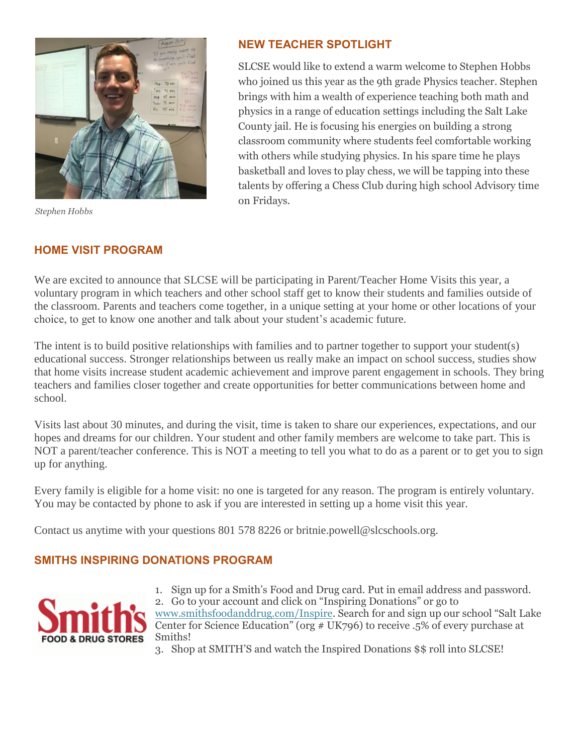

*Stephen Hobbs*

### **NEW TEACHER SPOTLIGHT**

SLCSE would like to extend a warm welcome to Stephen Hobbs who joined us this year as the 9th grade Physics teacher. Stephen brings with him a wealth of experience teaching both math and physics in a range of education settings including the Salt Lake County jail. He is focusing his energies on building a strong classroom community where students feel comfortable working with others while studying physics. In his spare time he plays basketball and loves to play chess, we will be tapping into these talents by offering a Chess Club during high school Advisory time on Fridays.

### **HOME VISIT PROGRAM**

We are excited to announce that SLCSE will be participating in Parent/Teacher Home Visits this year, a voluntary program in which teachers and other school staff get to know their students and families outside of the classroom. Parents and teachers come together, in a unique setting at your home or other locations of your choice, to get to know one another and talk about your student's academic future.

The intent is to build positive relationships with families and to partner together to support your student(s) educational success. Stronger relationships between us really make an impact on school success, studies show that home visits increase student academic achievement and improve parent engagement in schools. They bring teachers and families closer together and create opportunities for better communications between home and school.

Visits last about 30 minutes, and during the visit, time is taken to share our experiences, expectations, and our hopes and dreams for our children. Your student and other family members are welcome to take part. This is NOT a parent/teacher conference. This is NOT a meeting to tell you what to do as a parent or to get you to sign up for anything.

Every family is eligible for a home visit: no one is targeted for any reason. The program is entirely voluntary. You may be contacted by phone to ask if you are interested in setting up a home visit this year.

Contact us anytime with your questions 801 578 8226 or britnie.powell@slcschools.org.

# **SMITHS INSPIRING DONATIONS PROGRAM**



- 1. Sign up for a Smith's Food and Drug card. Put in email address and password. 2. Go to your account and click on "Inspiring Donations" or go to [www.smithsfoodanddrug.com/Inspire.](http://www.smithsfoodanddrug.com/Inspire) Search for and sign up our school "Salt Lake Center for Science Education" (org  $# UK796$ ) to receive .5% of every purchase at Smiths!
- 3. Shop at SMITH'S and watch the Inspired Donations \$\$ roll into SLCSE!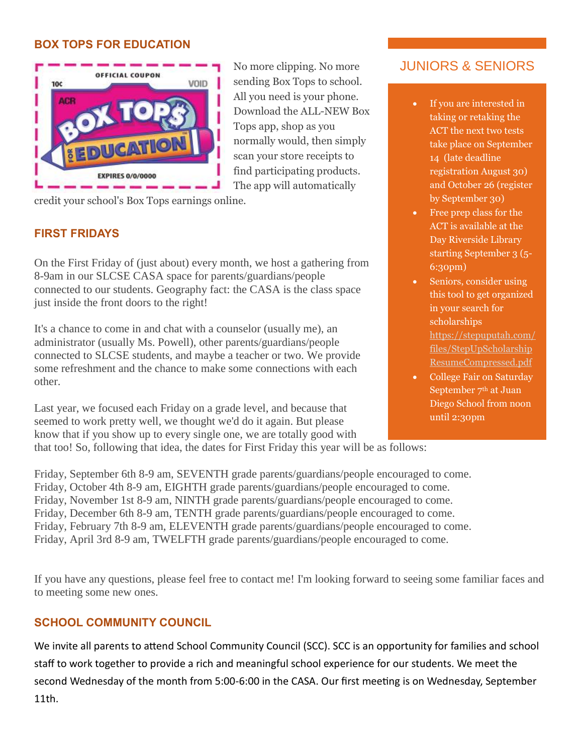#### **BOX TOPS FOR EDUCATION**



No more clipping. No more sending Box Tops to school. All you need is your phone. Download the ALL-NEW Box Tops app, shop as you normally would, then simply scan your store receipts to find participating products. The app will automatically

credit your school's Box Tops earnings online.

#### **FIRST FRIDAYS**

On the First Friday of (just about) every month, we host a gathering from 8-9am in our SLCSE CASA space for parents/guardians/people connected to our students. Geography fact: the CASA is the class space just inside the front doors to the right!

It's a chance to come in and chat with a counselor (usually me), an administrator (usually Ms. Powell), other parents/guardians/people connected to SLCSE students, and maybe a teacher or two. We provide some refreshment and the chance to make some connections with each other.

Last year, we focused each Friday on a grade level, and because that seemed to work pretty well, we thought we'd do it again. But please know that if you show up to every single one, we are totally good with

#### that too! So, following that idea, the dates for First Friday this year will be as follows:

JUNIORS & SENIORS

- If you are interested in taking or retaking the ACT the next two tests take place on September 14 (late deadline registration August 30) and October 26 (register by September 30)
- Free prep class for the ACT is available at the Day Riverside Library starting September 3 (5- 6:30pm)
- Seniors, consider using this tool to get organized in your search for scholarships [https://stepuputah.com/](https://stepuputah.com/files/StepUpScholarshipResumeCompressed.pdf) [files/StepUpScholarship](https://stepuputah.com/files/StepUpScholarshipResumeCompressed.pdf) [ResumeCompressed.pdf](https://stepuputah.com/files/StepUpScholarshipResumeCompressed.pdf)
- College Fair on Saturday September 7<sup>th</sup> at Juan Diego School from noon until 2:30pm

Friday, September 6th 8-9 am, SEVENTH grade parents/guardians/people encouraged to come. Friday, October 4th 8-9 am, EIGHTH grade parents/guardians/people encouraged to come. Friday, November 1st 8-9 am, NINTH grade parents/guardians/people encouraged to come. Friday, December 6th 8-9 am, TENTH grade parents/guardians/people encouraged to come. Friday, February 7th 8-9 am, ELEVENTH grade parents/guardians/people encouraged to come. Friday, April 3rd 8-9 am, TWELFTH grade parents/guardians/people encouraged to come.

If you have any questions, please feel free to contact me! I'm looking forward to seeing some familiar faces and to meeting some new ones.

#### **SCHOOL COMMUNITY COUNCIL**

We invite all parents to attend School Community Council (SCC). SCC is an opportunity for families and school staff to work together to provide a rich and meaningful school experience for our students. We meet the second Wednesday of the month from 5:00-6:00 in the CASA. Our first meeting is on Wednesday, September 11th.